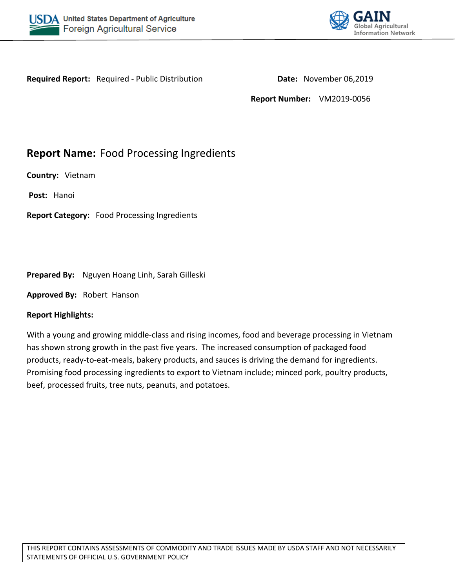



**Required Report:** Required - Public Distribution **Date:** November 06,2019

**Report Number:** VM2019-0056

# **Report Name:** Food Processing Ingredients

**Country:** Vietnam

**Post:** Hanoi

**Report Category:** Food Processing Ingredients

## **Prepared By:** Nguyen Hoang Linh, Sarah Gilleski

**Approved By:** Robert Hanson

## **Report Highlights:**

With a young and growing middle-class and rising incomes, food and beverage processing in Vietnam has shown strong growth in the past five years. The increased consumption of packaged food products, ready-to-eat-meals, bakery products, and sauces is driving the demand for ingredients. Promising food processing ingredients to export to Vietnam include; minced pork, poultry products, beef, processed fruits, tree nuts, peanuts, and potatoes.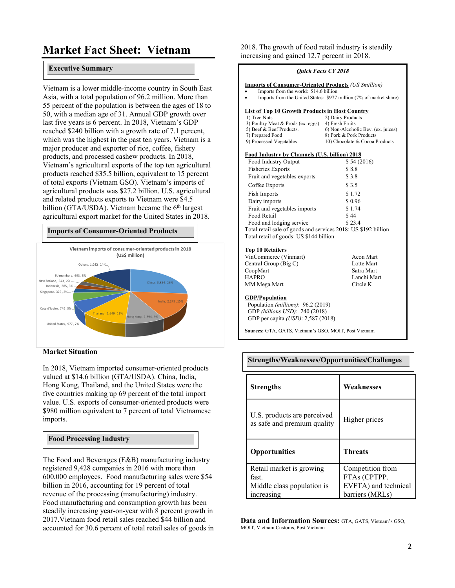# **Market Fact Sheet: Vietnam**

#### **Executive Summary**

Vietnam is a lower middle-income country in South East Asia, with a total population of 96.2 million. More than 55 percent of the population is between the ages of 18 to 50, with a median age of 31. Annual GDP growth over last five years is 6 percent. In 2018, Vietnam's GDP reached \$240 billion with a growth rate of 7.1 percent, which was the highest in the past ten years. Vietnam is a major producer and exporter of rice, coffee, fishery products, and processed cashew products. In 2018, Vietnam's agricultural exports of the top ten agricultural products reached \$35.5 billion, equivalent to 15 percent of total exports (Vietnam GSO). Vietnam's imports of agricultural products was \$27.2 billion. U.S. agricultural and related products exports to Vietnam were \$4.5 billion (GTA/USDA). Vietnam became the  $6<sup>th</sup>$  largest agricultural export market for the United States in 2018.

#### **Imports of Consumer-Oriented Products**



#### **Market Situation**

In 2018, Vietnam imported consumer-oriented products valued at \$14.6 billion (GTA/USDA). China, India, Hong Kong, Thailand, and the United States were the five countries making up 69 percent of the total import value. U.S. exports of consumer-oriented products were \$980 million equivalent to 7 percent of total Vietnamese imports.

#### **Food Processing Industry**

The Food and Beverages (F&B) manufacturing industry registered 9,428 companies in 2016 with more than 600,000 employees. Food manufacturing sales were \$54 billion in 2016, accounting for 19 percent of total revenue of the processing (manufacturing) industry. Food manufacturing and consumption growth has been steadily increasing year-on-year with 8 percent growth in 2017.Vietnam food retail sales reached \$44 billion and accounted for 30.6 percent of total retail sales of goods in 2018. The growth of food retail industry is steadily increasing and gained 12.7 percent in 2018.

| <b>Ouick Facts CY 2018</b>                                     |                                                                    |  |  |
|----------------------------------------------------------------|--------------------------------------------------------------------|--|--|
| <b>Imports of Consumer-Oriented Products (US Smillion)</b>     |                                                                    |  |  |
| Imports from the world: \$14.6 billion<br>$\bullet$            |                                                                    |  |  |
| $\bullet$                                                      | Imports from the United States: \$977 million (7% of market share) |  |  |
| <b>List of Top 10 Growth Products in Host Country</b>          |                                                                    |  |  |
| 1) Tree Nuts                                                   | 2) Dairy Products                                                  |  |  |
| 3) Poultry Meat & Prods (ex. eggs)                             | 4) Fresh Fruits                                                    |  |  |
| 5) Beef & Beef Products.                                       | 6) Non-Alcoholic Bev. (ex. juices)                                 |  |  |
| 7) Prepared Food                                               | 8) Pork & Pork Products                                            |  |  |
| 9) Processed Vegetables                                        | 10) Chocolate & Cocoa Products                                     |  |  |
| Food Industry by Channels (U.S. billion) 2018                  |                                                                    |  |  |
| Food Industry Output                                           | \$54(2016)                                                         |  |  |
| <b>Fisheries Exports</b>                                       | \$8.8                                                              |  |  |
| Fruit and vegetables exports                                   | \$3.8                                                              |  |  |
| Coffee Exports                                                 | \$3.5                                                              |  |  |
| <b>Fish Imports</b>                                            | \$1.72                                                             |  |  |
| Dairy imports                                                  | \$0.96                                                             |  |  |
| Fruit and vegetables imports                                   | \$1.74                                                             |  |  |
| Food Retail                                                    | \$44                                                               |  |  |
| \$23.4<br>Food and lodging service                             |                                                                    |  |  |
| Total retail sale of goods and services 2018: US \$192 billion |                                                                    |  |  |
| Total retail of goods: US \$144 billion                        |                                                                    |  |  |
| <b>Top 10 Retailers</b>                                        |                                                                    |  |  |
| VinCommerce (Vinmart)                                          | Aeon Mart                                                          |  |  |
| Central Group (Big C)                                          | Lotte Mart                                                         |  |  |
| CoopMart                                                       | Satra Mart                                                         |  |  |
| <b>HAPRO</b>                                                   | Lanchi Mart                                                        |  |  |
| MM Mega Mart                                                   | Circle K                                                           |  |  |
| <b>GDP/Population</b>                                          |                                                                    |  |  |
| Population (millions): 96.2 (2019)                             |                                                                    |  |  |
| GDP (billions USD): 240 (2018)                                 |                                                                    |  |  |
| GDP per capita (USD): 2,587 (2018)                             |                                                                    |  |  |
| Sources: GTA, GATS, Vietnam's GSO, MOIT, Post Vietnam          |                                                                    |  |  |

| Strengths/Weaknesses/Opportunities/Challenges              |                      |  |
|------------------------------------------------------------|----------------------|--|
| <b>Strengths</b>                                           | Weaknesses           |  |
| U.S. products are perceived<br>as safe and premium quality | Higher prices        |  |
| <b>Opportunities</b>                                       | <b>Threats</b>       |  |
| Retail market is growing                                   | Competition from     |  |
| fast.                                                      | FTAs (CPTPP.         |  |
| Middle class population is                                 | EVFTA) and technical |  |
| increasing                                                 | barriers (MRLs)      |  |

**Data and Information Sources:** GTA, GATS, Vietnam's GSO, MOIT, Vietnam Customs, Post Vietnam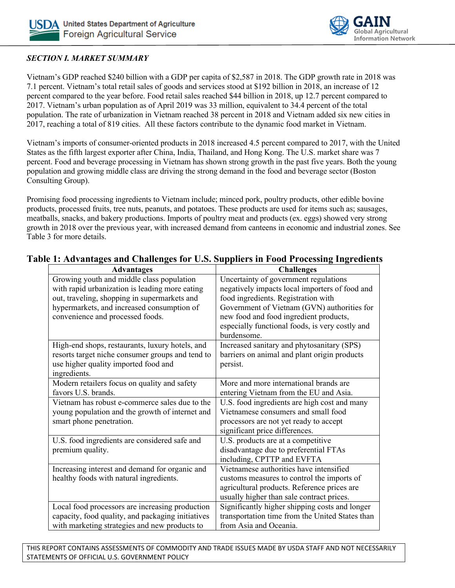

## *SECTION I. MARKET SUMMARY*

Vietnam's GDP reached \$240 billion with a GDP per capita of \$2,587 in 2018. The GDP growth rate in 2018 was 7.1 percent. Vietnam's total retail sales of goods and services stood at \$192 billion in 2018, an increase of 12 percent compared to the year before. Food retail sales reached \$44 billion in 2018, up 12.7 percent compared to 2017. Vietnam's urban population as of April 2019 was 33 million, equivalent to 34.4 percent of the total population. The rate of urbanization in Vietnam reached 38 percent in 2018 and Vietnam added six new cities in 2017, reaching a total of 819 cities. All these factors contribute to the dynamic food market in Vietnam.

Vietnam's imports of consumer-oriented products in 2018 increased 4.5 percent compared to 2017, with the United States as the fifth largest exporter after China, India, Thailand, and Hong Kong. The U.S. market share was 7 percent. Food and beverage processing in Vietnam has shown strong growth in the past five years. Both the young population and growing middle class are driving the strong demand in the food and beverage sector (Boston Consulting Group).

Promising food processing ingredients to Vietnam include; minced pork, poultry products, other edible bovine products, processed fruits, tree nuts, peanuts, and potatoes. These products are used for items such as; sausages, meatballs, snacks, and bakery productions. Imports of poultry meat and products (ex. eggs) showed very strong growth in 2018 over the previous year, with increased demand from canteens in economic and industrial zones. See Table 3 for more details.

| <b>Advantages</b>                                 | <b>Challenges</b>                               |
|---------------------------------------------------|-------------------------------------------------|
| Growing youth and middle class population         | Uncertainty of government regulations           |
| with rapid urbanization is leading more eating    | negatively impacts local importers of food and  |
| out, traveling, shopping in supermarkets and      | food ingredients. Registration with             |
| hypermarkets, and increased consumption of        | Government of Vietnam (GVN) authorities for     |
| convenience and processed foods.                  | new food and food ingredient products,          |
|                                                   | especially functional foods, is very costly and |
|                                                   | burdensome.                                     |
| High-end shops, restaurants, luxury hotels, and   | Increased sanitary and phytosanitary (SPS)      |
| resorts target niche consumer groups and tend to  | barriers on animal and plant origin products    |
| use higher quality imported food and              | persist.                                        |
| ingredients.                                      |                                                 |
| Modern retailers focus on quality and safety      | More and more international brands are          |
| favors U.S. brands.                               | entering Vietnam from the EU and Asia.          |
| Vietnam has robust e-commerce sales due to the    | U.S. food ingredients are high cost and many    |
| young population and the growth of internet and   | Vietnamese consumers and small food             |
| smart phone penetration.                          | processors are not yet ready to accept          |
|                                                   | significant price differences.                  |
| U.S. food ingredients are considered safe and     | U.S. products are at a competitive              |
| premium quality.                                  | disadvantage due to preferential FTAs           |
|                                                   | including, CPTTP and EVFTA                      |
| Increasing interest and demand for organic and    | Vietnamese authorities have intensified         |
| healthy foods with natural ingredients.           | customs measures to control the imports of      |
|                                                   | agricultural products. Reference prices are     |
|                                                   | usually higher than sale contract prices.       |
| Local food processors are increasing production   | Significantly higher shipping costs and longer  |
| capacity, food quality, and packaging initiatives | transportation time from the United States than |
| with marketing strategies and new products to     | from Asia and Oceania.                          |

# **Table 1: Advantages and Challenges for U.S. Suppliers in Food Processing Ingredients**

THIS REPORT CONTAINS ASSESSMENTS OF COMMODITY AND TRADE ISSUES MADE BY USDA STAFF AND NOT NECESSARILY STATEMENTS OF OFFICIAL U.S. GOVERNMENT POLICY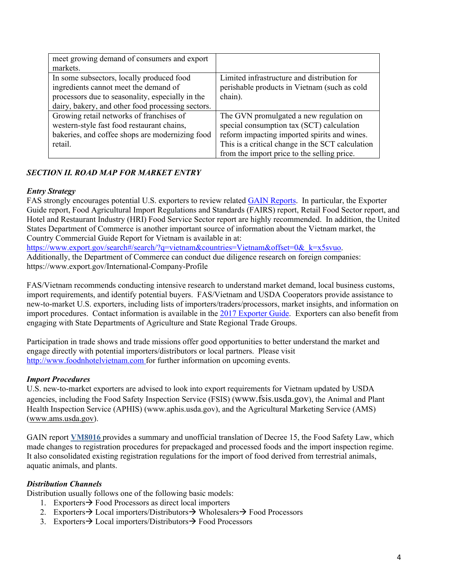| meet growing demand of consumers and export       |                                                  |
|---------------------------------------------------|--------------------------------------------------|
| markets.                                          |                                                  |
| In some subsectors, locally produced food         | Limited infrastructure and distribution for      |
| ingredients cannot meet the demand of             | perishable products in Vietnam (such as cold     |
| processors due to seasonality, especially in the  | chain).                                          |
| dairy, bakery, and other food processing sectors. |                                                  |
| Growing retail networks of franchises of          | The GVN promulgated a new regulation on          |
| western-style fast food restaurant chains,        | special consumption tax (SCT) calculation        |
| bakeries, and coffee shops are modernizing food   | reform impacting imported spirits and wines.     |
| retail.                                           | This is a critical change in the SCT calculation |
|                                                   | from the import price to the selling price.      |

## *SECTION II. ROAD MAP FOR MARKET ENTRY*

#### *Entry Strategy*

FAS strongly encourages potential U.S. exporters to review related [GAIN Reports](https://gain.fas.usda.gov/Lists/Advanced%20Search/AllItems.aspx). In particular, the Exporter Guide report, Food Agricultural Import Regulations and Standards (FAIRS) report, Retail Food Sector report, and Hotel and Restaurant Industry (HRI) Food Service Sector report are highly recommended. In addition, the United States Department of Commerce is another important source of information about the Vietnam market, the Country Commercial Guide Report for Vietnam is available in at:

https://www.export.gov/search#/search/?q=vietnam&countries=Vietnam&offset=0& k=x5svuo. Additionally, the Department of Commerce can conduct due diligence research on foreign companies: https://www.export.gov/International-Company-Profile

FAS/Vietnam recommends conducting intensive research to understand market demand, local business customs, import requirements, and identify potential buyers. FAS/Vietnam and USDA Cooperators provide assistance to new-to-market U.S. exporters, including lists of importers/traders/processors, market insights, and information on import procedures. Contact information is available in the [2017 Exporter Guide](http://gain.fas.usda.gov/Recent%20GAIN%20Publications/Exporter%20Guide_Hanoi_Vietnam_12-28-2017.pdf). Exporters can also benefit from engaging with State Departments of Agriculture and State Regional Trade Groups.

Participation in trade shows and trade missions offer good opportunities to better understand the market and engage directly with potential importers/distributors or local partners. Please visit [http://www.foodnhotelvietnam.com](http://www.foodnhotelvietnam.com/) for further information on upcoming events.

## *Import Procedures*

U.S. new-to-market exporters are advised to look into export requirements for Vietnam updated by USDA agencies, including the Food Safety Inspection Service (FSIS) ([www.fsis.usda.gov](http://www.fsis.usda.gov/)), the Animal and Plant Health Inspection Service (APHIS) (www.aphis.usda.gov), and the Agricultural Marketing Service (AMS) ([www.ams.usda.gov](http://www.ams.usda.gov/)).

GAIN report **[VM8016](http://gain.fas.usda.gov/Recent%20GAIN%20Publications/GVN%20Reformed%20Decree%20Guiding%20the%20Law%20on%20Food%20Safety_Hanoi_Vietnam_4-4-2018.pdf)** provides a summary and unofficial translation of Decree 15, the Food Safety Law, which made changes to registration procedures for prepackaged and processed foods and the import inspection regime. It also consolidated existing registration regulations for the import of food derived from terrestrial animals, aquatic animals, and plants.

## *Distribution Channels*

Distribution usually follows one of the following basic models:

- 1. Exporters  $\rightarrow$  Food Processors as direct local importers
- 2. Exporters  $\rightarrow$  Local importers/Distributors  $\rightarrow$  Wholesalers  $\rightarrow$  Food Processors
- 3. Exporters  $\rightarrow$  Local importers/Distributors  $\rightarrow$  Food Processors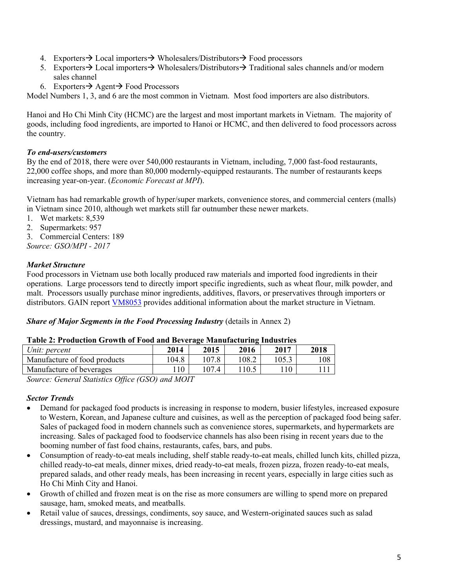- 4. Exporters  $\rightarrow$  Local importers  $\rightarrow$  Wholesalers/Distributors  $\rightarrow$  Food processors
- 5. Exporters  $\rightarrow$  Local importers  $\rightarrow$  Wholesalers/Distributors  $\rightarrow$  Traditional sales channels and/or modern sales channel
- 6. Exporters  $\rightarrow$  Agent  $\rightarrow$  Food Processors

Model Numbers 1, 3, and 6 are the most common in Vietnam. Most food importers are also distributors.

Hanoi and Ho Chi Minh City (HCMC) are the largest and most important markets in Vietnam. The majority of goods, including food ingredients, are imported to Hanoi or HCMC, and then delivered to food processors across the country.

## *To end-users/customers*

By the end of 2018, there were over 540,000 restaurants in Vietnam, including, 7,000 fast-food restaurants, 22,000 coffee shops, and more than 80,000 modernly-equipped restaurants. The number of restaurants keeps increasing year-on-year. (*Economic Forecast at MPI*).

Vietnam has had remarkable growth of hyper/super markets, convenience stores, and commercial centers (malls) in Vietnam since 2010, although wet markets still far outnumber these newer markets.

- 1. Wet markets: 8,539
- 2. Supermarkets: 957
- 3. Commercial Centers: 189
- *Source: GSO/MPI 2017*

## *Market Structure*

Food processors in Vietnam use both locally produced raw materials and imported food ingredients in their operations. Large processors tend to directly import specific ingredients, such as wheat flour, milk powder, and malt. Processors usually purchase minor ingredients, additives, flavors, or preservatives through importers or distributors. GAIN report [VM8053](https://gain.fas.usda.gov/Recent%20GAIN%20Publications/Retail%20Foods_Hanoi_Vietnam_11-13-2018.pdf) provides additional information about the market structure in Vietnam.

#### *Share of Major Segments in the Food Processing Industry* (details in Annex 2)

#### **Table 2: Production Growth of Food and Beverage Manufacturing Industries**

| Unit: percent                | 2014  | 2015  | 2016  | 2017 | 2018 |
|------------------------------|-------|-------|-------|------|------|
| Manufacture of food products | .04.8 |       | 108.2 |      | 108  |
| Manufacture of beverages     |       | 107.4 |       |      |      |

*Source: General Statistics Office (GSO) and MOIT*

#### *Sector Trends*

- Demand for packaged food products is increasing in response to modern, busier lifestyles, increased exposure to Western, Korean, and Japanese culture and cuisines, as well as the perception of packaged food being safer. Sales of packaged food in modern channels such as convenience stores, supermarkets, and hypermarkets are increasing. Sales of packaged food to foodservice channels has also been rising in recent years due to the booming number of fast food chains, restaurants, cafes, bars, and pubs.
- Consumption of ready-to-eat meals including, shelf stable ready-to-eat meals, chilled lunch kits, chilled pizza, chilled ready-to-eat meals, dinner mixes, dried ready-to-eat meals, frozen pizza, frozen ready-to-eat meals, prepared salads, and other ready meals, has been increasing in recent years, especially in large cities such as Ho Chi Minh City and Hanoi.
- Growth of chilled and frozen meat is on the rise as more consumers are willing to spend more on prepared sausage, ham, smoked meats, and meatballs.
- Retail value of sauces, dressings, condiments, soy sauce, and Western-originated sauces such as salad dressings, mustard, and mayonnaise is increasing.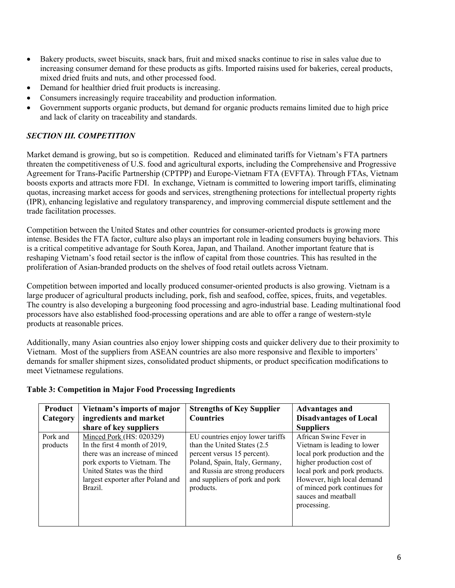- Bakery products, sweet biscuits, snack bars, fruit and mixed snacks continue to rise in sales value due to increasing consumer demand for these products as gifts. Imported raisins used for bakeries, cereal products, mixed dried fruits and nuts, and other processed food.
- Demand for healthier dried fruit products is increasing.
- Consumers increasingly require traceability and production information.
- Government supports organic products, but demand for organic products remains limited due to high price and lack of clarity on traceability and standards.

## *SECTION III. COMPETITION*

Market demand is growing, but so is competition. Reduced and eliminated tariffs for Vietnam's FTA partners threaten the competitiveness of U.S. food and agricultural exports, including the Comprehensive and Progressive Agreement for Trans-Pacific Partnership (CPTPP) and Europe-Vietnam FTA (EVFTA). Through FTAs, Vietnam boosts exports and attracts more FDI. In exchange, Vietnam is committed to lowering import tariffs, eliminating quotas, increasing market access for goods and services, strengthening protections for intellectual property rights (IPR), enhancing legislative and regulatory transparency, and improving commercial dispute settlement and the trade facilitation processes.

Competition between the United States and other countries for consumer-oriented products is growing more intense. Besides the FTA factor, culture also plays an important role in leading consumers buying behaviors. This is a critical competitive advantage for South Korea, Japan, and Thailand. Another important feature that is reshaping Vietnam's food retail sector is the inflow of capital from those countries. This has resulted in the proliferation of Asian-branded products on the shelves of food retail outlets across Vietnam.

Competition between imported and locally produced consumer-oriented products is also growing. Vietnam is a large producer of agricultural products including, pork, fish and seafood, coffee, spices, fruits, and vegetables. The country is also developing a burgeoning food processing and agro-industrial base. Leading multinational food processors have also established food-processing operations and are able to offer a range of western-style products at reasonable prices.

Additionally, many Asian countries also enjoy lower shipping costs and quicker delivery due to their proximity to Vietnam. Most of the suppliers from ASEAN countries are also more responsive and flexible to importers' demands for smaller shipment sizes, consolidated product shipments, or product specification modifications to meet Vietnamese regulations.

| Product<br>Category  | Vietnam's imports of major<br>ingredients and market<br>share of key suppliers                                                                                                                              | <b>Strengths of Key Supplier</b><br><b>Countries</b>                                                                                                                                                                | <b>Advantages and</b><br><b>Disadvantages of Local</b><br><b>Suppliers</b>                                                                                                                                                                               |
|----------------------|-------------------------------------------------------------------------------------------------------------------------------------------------------------------------------------------------------------|---------------------------------------------------------------------------------------------------------------------------------------------------------------------------------------------------------------------|----------------------------------------------------------------------------------------------------------------------------------------------------------------------------------------------------------------------------------------------------------|
| Pork and<br>products | Minced Pork (HS: 020329)<br>In the first 4 month of 2019,<br>there was an increase of minced<br>pork exports to Vietnam. The<br>United States was the third<br>largest exporter after Poland and<br>Brazil. | EU countries enjoy lower tariffs<br>than the United States (2.5)<br>percent versus 15 percent).<br>Poland, Spain, Italy, Germany,<br>and Russia are strong producers<br>and suppliers of pork and pork<br>products. | African Swine Fever in<br>Vietnam is leading to lower<br>local pork production and the<br>higher production cost of<br>local pork and pork products.<br>However, high local demand<br>of minced pork continues for<br>sauces and meatball<br>processing. |

#### **Table 3: Competition in Major Food Processing Ingredients**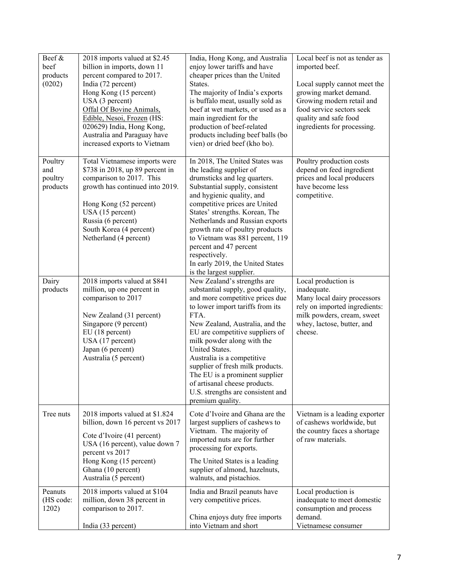| Beef &<br>beef<br>products<br>(0202)  | 2018 imports valued at \$2.45<br>billion in imports, down 11<br>percent compared to 2017.<br>India (72 percent)<br>Hong Kong (15 percent)<br>USA (3 percent)<br>Offal Of Bovine Animals,<br>Edible, Nesoi, Frozen (HS:<br>020629) India, Hong Kong,<br>Australia and Paraguay have<br>increased exports to Vietnam | India, Hong Kong, and Australia<br>enjoy lower tariffs and have<br>cheaper prices than the United<br>States.<br>The majority of India's exports<br>is buffalo meat, usually sold as<br>beef at wet markets, or used as a<br>main ingredient for the<br>production of beef-related<br>products including beef balls (bo<br>vien) or dried beef (kho bo).                                                                                                             | Local beef is not as tender as<br>imported beef.<br>Local supply cannot meet the<br>growing market demand.<br>Growing modern retail and<br>food service sectors seek<br>quality and safe food<br>ingredients for processing. |
|---------------------------------------|--------------------------------------------------------------------------------------------------------------------------------------------------------------------------------------------------------------------------------------------------------------------------------------------------------------------|---------------------------------------------------------------------------------------------------------------------------------------------------------------------------------------------------------------------------------------------------------------------------------------------------------------------------------------------------------------------------------------------------------------------------------------------------------------------|------------------------------------------------------------------------------------------------------------------------------------------------------------------------------------------------------------------------------|
| Poultry<br>and<br>poultry<br>products | Total Vietnamese imports were<br>\$738 in 2018, up 89 percent in<br>comparison to 2017. This<br>growth has continued into 2019.<br>Hong Kong (52 percent)<br>USA (15 percent)<br>Russia (6 percent)<br>South Korea (4 percent)<br>Netherland (4 percent)                                                           | In 2018, The United States was<br>the leading supplier of<br>drumsticks and leg quarters.<br>Substantial supply, consistent<br>and hygienic quality, and<br>competitive prices are United<br>States' strengths. Korean, The<br>Netherlands and Russian exports<br>growth rate of poultry products<br>to Vietnam was 881 percent, 119<br>percent and 47 percent<br>respectively.<br>In early 2019, the United States<br>is the largest supplier.                     | Poultry production costs<br>depend on feed ingredient<br>prices and local producers<br>have become less<br>competitive.                                                                                                      |
| Dairy<br>products                     | 2018 imports valued at \$841<br>million, up one percent in<br>comparison to 2017<br>New Zealand (31 percent)<br>Singapore (9 percent)<br>EU(18 percent)<br>USA (17 percent)<br>Japan (6 percent)<br>Australia (5 percent)                                                                                          | New Zealand's strengths are<br>substantial supply, good quality,<br>and more competitive prices due<br>to lower import tariffs from its<br>FTA.<br>New Zealand, Australia, and the<br>EU are competitive suppliers of<br>milk powder along with the<br>United States.<br>Australia is a competitive<br>supplier of fresh milk products.<br>The EU is a prominent supplier<br>of artisanal cheese products.<br>U.S. strengths are consistent and<br>premium quality. | Local production is<br>inadequate.<br>Many local dairy processors<br>rely on imported ingredients:<br>milk powders, cream, sweet<br>whey, lactose, butter, and<br>cheese.                                                    |
| Tree nuts                             | 2018 imports valued at \$1.824<br>billion, down 16 percent vs 2017<br>Cote d'Ivoire (41 percent)<br>USA (16 percent), value down 7<br>percent vs 2017<br>Hong Kong (15 percent)<br>Ghana (10 percent)<br>Australia (5 percent)                                                                                     | Cote d'Ivoire and Ghana are the<br>largest suppliers of cashews to<br>Vietnam. The majority of<br>imported nuts are for further<br>processing for exports.<br>The United States is a leading<br>supplier of almond, hazelnuts,<br>walnuts, and pistachios.                                                                                                                                                                                                          | Vietnam is a leading exporter<br>of cashews worldwide, but<br>the country faces a shortage<br>of raw materials.                                                                                                              |
| Peanuts<br>(HS code:<br>1202)         | 2018 imports valued at \$104<br>million, down 38 percent in<br>comparison to 2017.<br>India (33 percent)                                                                                                                                                                                                           | India and Brazil peanuts have<br>very competitive prices.<br>China enjoys duty free imports<br>into Vietnam and short                                                                                                                                                                                                                                                                                                                                               | Local production is<br>inadequate to meet domestic<br>consumption and process<br>demand.<br>Vietnamese consumer                                                                                                              |
|                                       |                                                                                                                                                                                                                                                                                                                    |                                                                                                                                                                                                                                                                                                                                                                                                                                                                     |                                                                                                                                                                                                                              |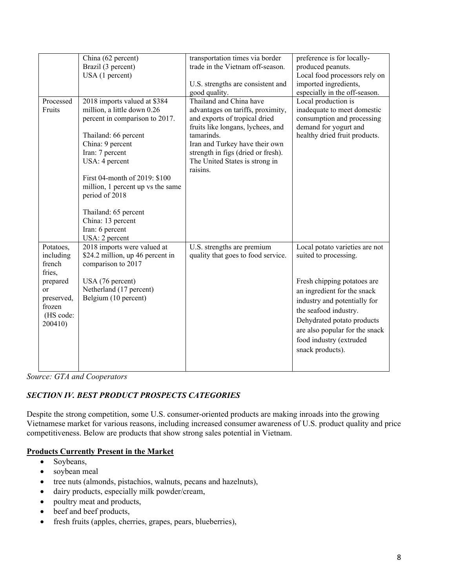|                      | China (62 percent)                              | transportation times via border                 | preference is for locally-                          |
|----------------------|-------------------------------------------------|-------------------------------------------------|-----------------------------------------------------|
|                      | Brazil (3 percent)                              | trade in the Vietnam off-season.                | produced peanuts.                                   |
|                      | USA (1 percent)                                 |                                                 | Local food processors rely on                       |
|                      |                                                 | U.S. strengths are consistent and               | imported ingredients,                               |
|                      |                                                 | good quality.                                   | especially in the off-season.                       |
| Processed            | 2018 imports valued at \$384                    | Thailand and China have                         | Local production is                                 |
| Fruits               | million, a little down 0.26                     | advantages on tariffs, proximity,               | inadequate to meet domestic                         |
|                      | percent in comparison to 2017.                  | and exports of tropical dried                   | consumption and processing<br>demand for yogurt and |
|                      |                                                 | fruits like longans, lychees, and<br>tamarinds. | healthy dried fruit products.                       |
|                      | Thailand: 66 percent<br>China: 9 percent        | Iran and Turkey have their own                  |                                                     |
|                      | Iran: 7 percent                                 | strength in figs (dried or fresh).              |                                                     |
|                      | USA: 4 percent                                  | The United States is strong in                  |                                                     |
|                      |                                                 | raisins.                                        |                                                     |
|                      | First 04-month of 2019: \$100                   |                                                 |                                                     |
|                      | million, 1 percent up vs the same               |                                                 |                                                     |
|                      | period of 2018                                  |                                                 |                                                     |
|                      |                                                 |                                                 |                                                     |
|                      | Thailand: 65 percent                            |                                                 |                                                     |
|                      | China: 13 percent                               |                                                 |                                                     |
|                      | Iran: 6 percent                                 |                                                 |                                                     |
|                      | USA: 2 percent                                  |                                                 |                                                     |
| Potatoes,            | 2018 imports were valued at                     | U.S. strengths are premium                      | Local potato varieties are not                      |
| including            | \$24.2 million, up 46 percent in                | quality that goes to food service.              | suited to processing.                               |
| french               | comparison to 2017                              |                                                 |                                                     |
| fries,               |                                                 |                                                 |                                                     |
| prepared             | USA (76 percent)                                |                                                 | Fresh chipping potatoes are                         |
| <b>or</b>            | Netherland (17 percent)<br>Belgium (10 percent) |                                                 | an ingredient for the snack                         |
| preserved,<br>frozen |                                                 |                                                 | industry and potentially for                        |
| (HS code:            |                                                 |                                                 | the seafood industry.                               |
| 200410)              |                                                 |                                                 | Dehydrated potato products                          |
|                      |                                                 |                                                 | are also popular for the snack                      |
|                      |                                                 |                                                 | food industry (extruded                             |
|                      |                                                 |                                                 | snack products).                                    |
|                      |                                                 |                                                 |                                                     |
|                      |                                                 |                                                 |                                                     |

*Source: GTA and Cooperators*

## *SECTION IV. BEST PRODUCT PROSPECTS CATEGORIES*

Despite the strong competition, some U.S. consumer-oriented products are making inroads into the growing Vietnamese market for various reasons, including increased consumer awareness of U.S. product quality and price competitiveness. Below are products that show strong sales potential in Vietnam.

## **Products Currently Present in the Market**

- Soybeans,
- soybean meal
- tree nuts (almonds, pistachios, walnuts, pecans and hazelnuts),
- dairy products, especially milk powder/cream,
- poultry meat and products,
- beef and beef products,
- fresh fruits (apples, cherries, grapes, pears, blueberries),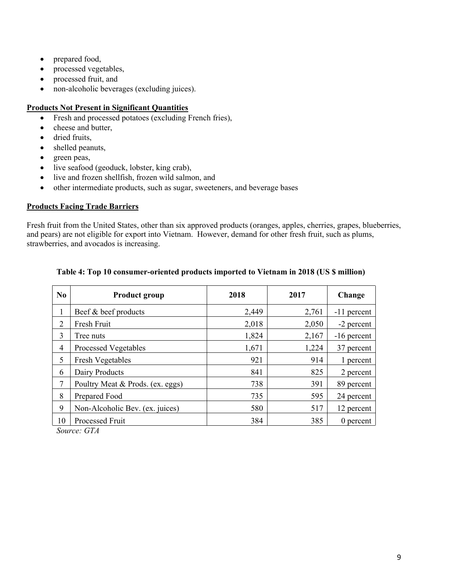- prepared food,
- processed vegetables,
- processed fruit, and
- non-alcoholic beverages (excluding juices).

#### **Products Not Present in Significant Quantities**

- Fresh and processed potatoes (excluding French fries),
- cheese and butter,
- dried fruits,
- shelled peanuts,
- green peas,
- live seafood (geoduck, lobster, king crab),
- live and frozen shellfish, frozen wild salmon, and
- other intermediate products, such as sugar, sweeteners, and beverage bases

## **Products Facing Trade Barriers**

Fresh fruit from the United States, other than six approved products (oranges, apples, cherries, grapes, blueberries, and pears) are not eligible for export into Vietnam. However, demand for other fresh fruit, such as plums, strawberries, and avocados is increasing.

| N <sub>0</sub> | <b>Product group</b>                    | 2018  | 2017  | Change        |
|----------------|-----------------------------------------|-------|-------|---------------|
| 1              | Beef & beef products                    | 2,449 | 2,761 | -11 percent   |
| 2              | Fresh Fruit                             | 2,018 | 2,050 | -2 percent    |
| 3              | Tree nuts                               | 1,824 | 2,167 | $-16$ percent |
| 4              | <b>Processed Vegetables</b>             | 1,671 | 1,224 | 37 percent    |
| 5              | <b>Fresh Vegetables</b>                 | 921   | 914   | 1 percent     |
| 6              | Dairy Products                          | 841   | 825   | 2 percent     |
| 7              | Poultry Meat & Prods. (ex. eggs)        | 738   | 391   | 89 percent    |
| 8              | Prepared Food                           | 735   | 595   | 24 percent    |
| 9              | Non-Alcoholic Bev. (ex. juices)         | 580   | 517   | 12 percent    |
| 10<br>$\sim$   | Processed Fruit<br>$\sim$ $\sim$ $\sim$ | 384   | 385   | $0$ percent   |

## **Table 4: Top 10 consumer-oriented products imported to Vietnam in 2018 (US \$ million)**

*Source: GTA*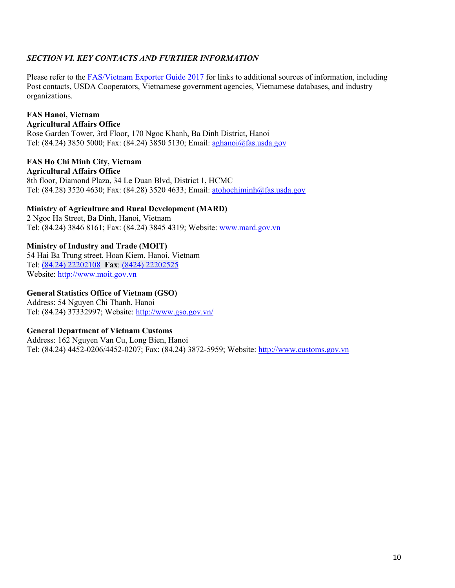## *SECTION VI. KEY CONTACTS AND FURTHER INFORMATION*

Please refer to the [FAS/Vietnam Exporter Guide 2017](https://gain.fas.usda.gov/Recent%20GAIN%20Publications/Exporter%20Guide_Hanoi_Vietnam_12-28-2017.pdf) for links to additional sources of information, including Post contacts, USDA Cooperators, Vietnamese government agencies, Vietnamese databases, and industry organizations.

#### **FAS Hanoi, Vietnam Agricultural Affairs Office**

Rose Garden Tower, 3rd Floor, 170 Ngoc Khanh, Ba Dinh District, Hanoi Tel: (84.24) 3850 5000; Fax: (84.24) 3850 5130; Email: [aghanoi@fas.usda.gov](mailto:aghanoi@fas.usda.gov) 

#### **FAS Ho Chi Minh City, Vietnam Agricultural Affairs Office**

8th floor, Diamond Plaza, 34 Le Duan Blvd, District 1, HCMC Tel: (84.28) 3520 4630; Fax: (84.28) 3520 4633; Email: [atohochiminh@fas.usda.gov](mailto:atohochiminh@fas.usda.gov)

## **Ministry of Agriculture and Rural Development (MARD)**

2 Ngoc Ha Street, Ba Dinh, Hanoi, Vietnam Tel: (84.24) 3846 8161; Fax: (84.24) 3845 4319; Website: [www.mard.gov.vn](http://www.mard.gov.vn/)

## **Ministry of Industry and Trade (MOIT)**

54 Hai Ba Trung street, Hoan Kiem, Hanoi, Vietnam Tel: [\(84.24\) 22202108](tel:(04)%2022202108) **Fax**: [\(8424\) 22202525](tel:(04)%2022202525) Website: [http://www.moit.gov.vn](http://www.moit.gov.vn/)

## **General Statistics Office of Vietnam (GSO)**

Address: 54 Nguyen Chi Thanh, Hanoi Tel: (84.24) 37332997; Website: <http://www.gso.gov.vn/>

## **General Department of Vietnam Customs**

Address: 162 Nguyen Van Cu, Long Bien, Hanoi Tel: (84.24) 4452-0206/4452-0207; Fax: (84.24) 3872-5959; Website: [http://www.customs.gov.vn](http://www.customs.gov.vn/)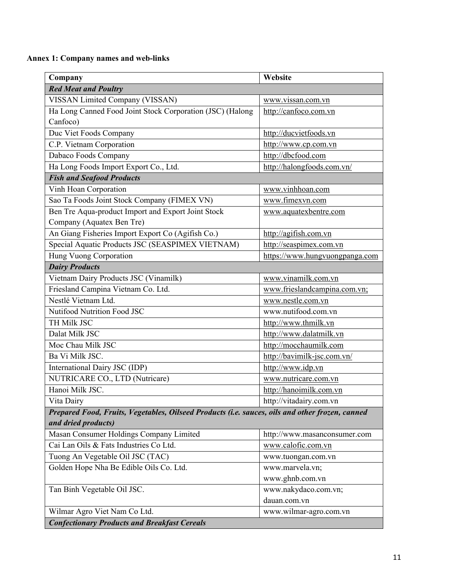**Annex 1: Company names and web-links**

| Company                                                                                         | Website                        |
|-------------------------------------------------------------------------------------------------|--------------------------------|
| <b>Red Meat and Poultry</b>                                                                     |                                |
| VISSAN Limited Company (VISSAN)                                                                 | www.vissan.com.vn              |
| Ha Long Canned Food Joint Stock Corporation (JSC) (Halong                                       | http://canfoco.com.vn          |
| Canfoco)                                                                                        |                                |
| Duc Viet Foods Company                                                                          | http://ducvietfoods.vn         |
| C.P. Vietnam Corporation                                                                        | http://www.cp.com.vn           |
| Dabaco Foods Company                                                                            | http://dbcfood.com             |
| Ha Long Foods Import Export Co., Ltd.                                                           | http://halongfoods.com.vn/     |
| <b>Fish and Seafood Products</b>                                                                |                                |
| Vinh Hoan Corporation                                                                           | www.vinhhoan.com               |
| Sao Ta Foods Joint Stock Company (FIMEX VN)                                                     | www.fimexvn.com                |
| Ben Tre Aqua-product Import and Export Joint Stock                                              | www.aquatexbentre.com          |
| Company (Aquatex Ben Tre)                                                                       |                                |
| An Giang Fisheries Import Export Co (Agifish Co.)                                               | http://agifish.com.vn          |
| Special Aquatic Products JSC (SEASPIMEX VIETNAM)                                                | http://seaspimex.com.vn        |
| Hung Vuong Corporation                                                                          | https://www.hungvuongpanga.com |
| <b>Dairy Products</b>                                                                           |                                |
| Vietnam Dairy Products JSC (Vinamilk)                                                           | www.vinamilk.com.vn            |
| Friesland Campina Vietnam Co. Ltd.                                                              | www.frieslandcampina.com.vn;   |
| Nestlé Vietnam Ltd.                                                                             | www.nestle.com.vn              |
| Nutifood Nutrition Food JSC                                                                     | www.nutifood.com.vn            |
| TH Milk JSC                                                                                     | http://www.thmilk.vn           |
| Dalat Milk JSC                                                                                  | http://www.dalatmilk.vn        |
| Moc Chau Milk JSC                                                                               | http://mocchaumilk.com         |
| Ba Vi Milk JSC.                                                                                 | http://bavimilk-jsc.com.vn/    |
| International Dairy JSC (IDP)                                                                   | http://www.idp.vn              |
| NUTRICARE CO., LTD (Nutricare)                                                                  | www.nutricare.com.vn           |
| Hanoi Milk JSC.                                                                                 | http://hanoimilk.com.vn        |
| Vita Dairy                                                                                      | http://vitadairy.com.vn        |
| Prepared Food, Fruits, Vegetables, Oilseed Products (i.e. sauces, oils and other frozen, canned |                                |
| and dried products)                                                                             |                                |
| Masan Consumer Holdings Company Limited                                                         | http://www.masanconsumer.com   |
| Cai Lan Oils & Fats Industries Co Ltd.                                                          | www.calofic.com.vn             |
| Tuong An Vegetable Oil JSC (TAC)                                                                | www.tuongan.com.vn             |
| Golden Hope Nha Be Edible Oils Co. Ltd.                                                         | www.marvela.vn;                |
|                                                                                                 | www.ghnb.com.vn                |
| Tan Binh Vegetable Oil JSC.                                                                     | www.nakydaco.com.vn;           |
|                                                                                                 | dauan.com.vn                   |
| Wilmar Agro Viet Nam Co Ltd.                                                                    | www.wilmar-agro.com.vn         |
| <b>Confectionary Products and Breakfast Cereals</b>                                             |                                |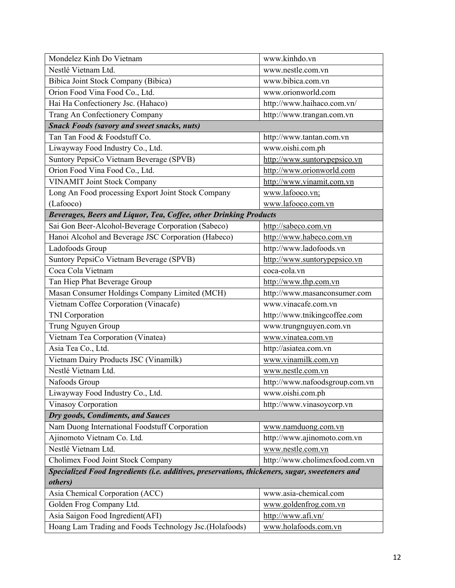| Mondelez Kinh Do Vietnam                                                                       | www.kinhdo.vn                  |
|------------------------------------------------------------------------------------------------|--------------------------------|
| Nestlé Vietnam Ltd.                                                                            | www.nestle.com.vn              |
| Bibica Joint Stock Company (Bibica)                                                            | www.bibica.com.vn              |
| Orion Food Vina Food Co., Ltd.                                                                 | www.orionworld.com             |
| Hai Ha Confectionery Jsc. (Hahaco)                                                             | http://www.haihaco.com.vn/     |
| Trang An Confectionery Company                                                                 | http://www.trangan.com.vn      |
| <b>Snack Foods (savory and sweet snacks, nuts)</b>                                             |                                |
| Tan Tan Food & Foodstuff Co.                                                                   | http://www.tantan.com.vn       |
| Liwayway Food Industry Co., Ltd.                                                               | www.oishi.com.ph               |
| Suntory PepsiCo Vietnam Beverage (SPVB)                                                        | http://www.suntorypepsico.vn   |
| Orion Food Vina Food Co., Ltd.                                                                 | http://www.orionworld.com      |
| <b>VINAMIT Joint Stock Company</b>                                                             | http://www.vinamit.com.vn      |
| Long An Food processing Export Joint Stock Company                                             | www.lafooco.vn;                |
| (Lafooco)                                                                                      | www.lafooco.com.vn             |
| Beverages, Beers and Liquor, Tea, Coffee, other Drinking Products                              |                                |
| Sai Gon Beer-Alcohol-Beverage Corporation (Sabeco)                                             | http://sabeco.com.vn           |
| Hanoi Alcohol and Beverage JSC Corporation (Habeco)                                            | http://www.habeco.com.vn       |
| Ladofoods Group                                                                                | http://www.ladofoods.vn        |
| Suntory PepsiCo Vietnam Beverage (SPVB)                                                        | http://www.suntorypepsico.vn   |
| Coca Cola Vietnam                                                                              | coca-cola.vn                   |
| Tan Hiep Phat Beverage Group                                                                   | http://www.thp.com.vn          |
| Masan Consumer Holdings Company Limited (MCH)                                                  | http://www.masanconsumer.com   |
| Vietnam Coffee Corporation (Vinacafe)                                                          | www.vinacafe.com.vn            |
| <b>TNI</b> Corporation                                                                         | http://www.tnikingcoffee.com   |
| Trung Nguyen Group                                                                             | www.trungnguyen.com.vn         |
| Vietnam Tea Corporation (Vinatea)                                                              | www.vinatea.com.vn             |
| Asia Tea Co., Ltd.                                                                             | http://asiatea.com.vn          |
| Vietnam Dairy Products JSC (Vinamilk)                                                          | www.vinamilk.com.vn            |
| Nestlé Vietnam Ltd.                                                                            | www.nestle.com.vn              |
| Nafoods Group                                                                                  | http://www.nafoodsgroup.com.vn |
| Liwayway Food Industry Co., Ltd.                                                               | www.oishi.com.ph               |
| Vinasoy Corporation                                                                            | http://www.vinasoycorp.vn      |
| Dry goods, Condiments, and Sauces                                                              |                                |
| Nam Duong International Foodstuff Corporation                                                  | www.namduong.com.vn            |
| Ajinomoto Vietnam Co. Ltd.                                                                     | http://www.ajinomoto.com.vn    |
| Nestlé Vietnam Ltd.                                                                            | www.nestle.com.vn              |
| Cholimex Food Joint Stock Company                                                              | http://www.cholimexfood.com.vn |
| Specialized Food Ingredients (i.e. additives, preservations, thickeners, sugar, sweeteners and |                                |
| others)                                                                                        |                                |
| Asia Chemical Corporation (ACC)                                                                | www.asia-chemical.com          |
| Golden Frog Company Ltd.                                                                       | www.goldenfrog.com.vn          |
| Asia Saigon Food Ingredient(AFI)                                                               | http://www.afi.vn/             |
| Hoang Lam Trading and Foods Technology Jsc.(Holafoods)                                         | www.holafoods.com.vn           |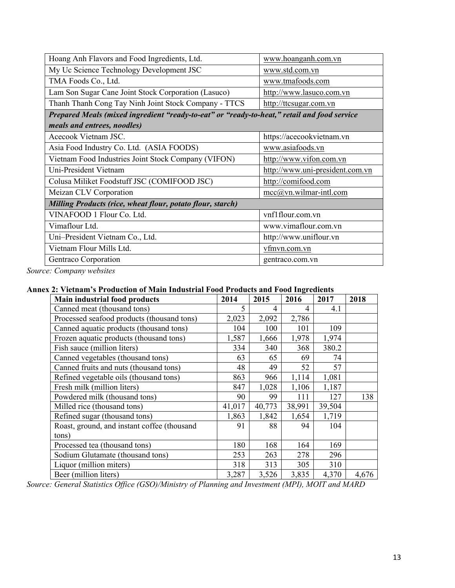| Hoang Anh Flavors and Food Ingredients, Ltd.                                                | www.hoanganh.com.vn             |
|---------------------------------------------------------------------------------------------|---------------------------------|
| My Uc Science Technology Development JSC                                                    | www.std.com.vn                  |
| TMA Foods Co., Ltd.                                                                         | www.tmafoods.com                |
| Lam Son Sugar Cane Joint Stock Corporation (Lasuco)                                         | http://www.lasuco.com.vn        |
| Thanh Thanh Cong Tay Ninh Joint Stock Company - TTCS                                        | http://ttcsugar.com.vn          |
| Prepared Meals (mixed ingredient "ready-to-eat" or "ready-to-heat," retail and food service |                                 |
| meals and entrees, noodles)                                                                 |                                 |
| Acecook Vietnam JSC.                                                                        | https://acecookvietnam.vn       |
| Asia Food Industry Co. Ltd. (ASIA FOODS)                                                    | www.asiafoods.vn                |
| Vietnam Food Industries Joint Stock Company (VIFON)                                         | http://www.vifon.com.vn         |
| Uni-President Vietnam                                                                       | http://www.uni-president.com.vn |
| Colusa Miliket Foodstuff JSC (COMIFOOD JSC)                                                 | http://comifood.com             |
| Meizan CLV Corporation                                                                      | $mcc@vn.wilmar-intl.com$        |
| <b>Milling Products (rice, wheat flour, potato flour, starch)</b>                           |                                 |
| VINAFOOD 1 Flour Co. Ltd.                                                                   | vnf1flour.com.vn                |
| Vimaflour Ltd.                                                                              | www.vimaflour.com.vn            |
| Uni-President Vietnam Co., Ltd.                                                             | http://www.uniflour.vn          |
| Vietnam Flour Mills Ltd.                                                                    | vfmvn.com.vn                    |
| Gentraco Corporation                                                                        | gentraco.com.vn                 |

*Source: Company websites*

## **Annex 2: Vietnam's Production of Main Industrial Food Products and Food Ingredients**

| <b>Main industrial food products</b>        | 2014   | 2015   | 2016   | 2017   | 2018  |
|---------------------------------------------|--------|--------|--------|--------|-------|
| Canned meat (thousand tons)                 | 5      | 4      | 4      | 4.1    |       |
| Processed seafood products (thousand tons)  | 2,023  | 2,092  | 2,786  |        |       |
| Canned aquatic products (thousand tons)     | 104    | 100    | 101    | 109    |       |
| Frozen aquatic products (thousand tons)     | 1,587  | 1,666  | 1,978  | 1,974  |       |
| Fish sauce (million liters)                 | 334    | 340    | 368    | 380.2  |       |
| Canned vegetables (thousand tons)           | 63     | 65     | 69     | 74     |       |
| Canned fruits and nuts (thousand tons)      | 48     | 49     | 52     | 57     |       |
| Refined vegetable oils (thousand tons)      | 863    | 966    | 1,114  | 1,081  |       |
| Fresh milk (million liters)                 | 847    | 1,028  | 1,106  | 1,187  |       |
| Powdered milk (thousand tons)               | 90     | 99     | 111    | 127    | 138   |
| Milled rice (thousand tons)                 | 41,017 | 40,773 | 38,991 | 39,504 |       |
| Refined sugar (thousand tons)               | 1,863  | 1,842  | 1,654  | 1,719  |       |
| Roast, ground, and instant coffee (thousand | 91     | 88     | 94     | 104    |       |
| tons)                                       |        |        |        |        |       |
| Processed tea (thousand tons)               | 180    | 168    | 164    | 169    |       |
| Sodium Glutamate (thousand tons)            | 253    | 263    | 278    | 296    |       |
| Liquor (million miters)                     | 318    | 313    | 305    | 310    |       |
| Beer (million liters)                       | 3,287  | 3,526  | 3,835  | 4,370  | 4,676 |

*Source: General Statistics Office (GSO)/Ministry of Planning and Investment (MPI), MOIT and MARD*